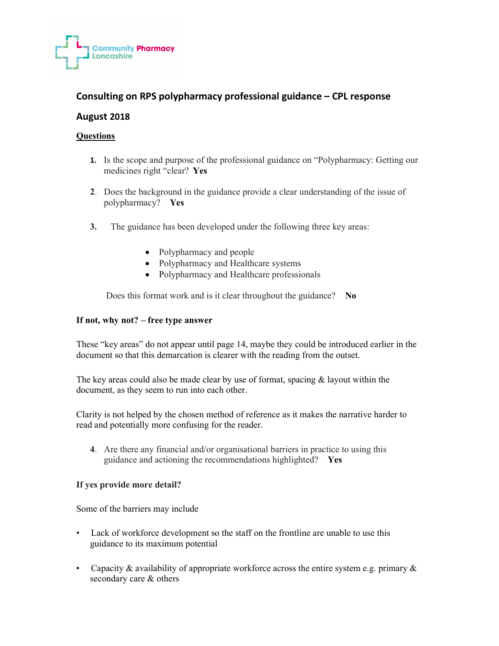

# Consulting on RPS polypharmacy professional guidance – CPL response

## August 2018

#### **Questions**

- 1. Is the scope and purpose of the professional guidance on "Polypharmacy: Getting our medicines right "clear? Yes
- 2. Does the background in the guidance provide a clear understanding of the issue of polypharmacy? Yes
- 3. The guidance has been developed under the following three key areas:
	- Polypharmacy and people
	- Polypharmacy and Healthcare systems
	- Polypharmacy and Healthcare professionals

Does this format work and is it clear throughout the guidance? No

#### If not, why not? – free type answer

These "key areas" do not appear until page 14, maybe they could be introduced earlier in the document so that this demarcation is clearer with the reading from the outset.

The key areas could also be made clear by use of format, spacing  $\&$  layout within the document, as they seem to run into each other.

Clarity is not helped by the chosen method of reference as it makes the narrative harder to read and potentially more confusing for the reader.

4. Are there any financial and/or organisational barriers in practice to using this guidance and actioning the recommendations highlighted? Yes

#### If yes provide more detail?

Some of the barriers may include

- Lack of workforce development so the staff on the frontline are unable to use this guidance to its maximum potential
- Capacity & availability of appropriate workforce across the entire system e.g. primary  $\&$ secondary care & others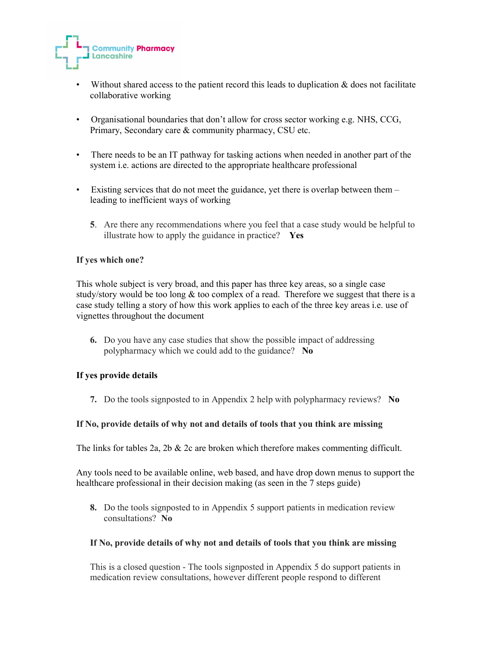

- Without shared access to the patient record this leads to duplication  $\&$  does not facilitate collaborative working
- Organisational boundaries that don't allow for cross sector working e.g. NHS, CCG, Primary, Secondary care & community pharmacy, CSU etc.
- There needs to be an IT pathway for tasking actions when needed in another part of the system i.e. actions are directed to the appropriate healthcare professional
- Existing services that do not meet the guidance, yet there is overlap between them leading to inefficient ways of working
	- 5. Are there any recommendations where you feel that a case study would be helpful to illustrate how to apply the guidance in practice?  $Yes$

#### If yes which one?

This whole subject is very broad, and this paper has three key areas, so a single case study/story would be too long  $&$  too complex of a read. Therefore we suggest that there is a case study telling a story of how this work applies to each of the three key areas i.e. use of vignettes throughout the document

6. Do you have any case studies that show the possible impact of addressing polypharmacy which we could add to the guidance? No

#### If yes provide details

7. Do the tools signposted to in Appendix 2 help with polypharmacy reviews? No

#### If No, provide details of why not and details of tools that you think are missing

The links for tables 2a, 2b  $&$  2c are broken which therefore makes commenting difficult.

Any tools need to be available online, web based, and have drop down menus to support the healthcare professional in their decision making (as seen in the 7 steps guide)

8. Do the tools signposted to in Appendix 5 support patients in medication review consultations? No

#### If No, provide details of why not and details of tools that you think are missing

This is a closed question - The tools signposted in Appendix 5 do support patients in medication review consultations, however different people respond to different